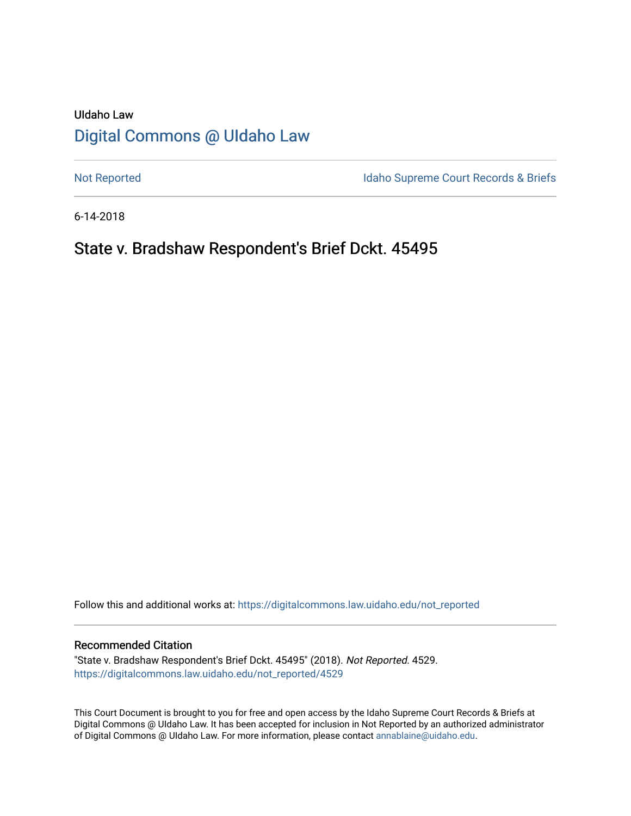# UIdaho Law [Digital Commons @ UIdaho Law](https://digitalcommons.law.uidaho.edu/)

[Not Reported](https://digitalcommons.law.uidaho.edu/not_reported) **Idaho Supreme Court Records & Briefs** 

6-14-2018

# State v. Bradshaw Respondent's Brief Dckt. 45495

Follow this and additional works at: [https://digitalcommons.law.uidaho.edu/not\\_reported](https://digitalcommons.law.uidaho.edu/not_reported?utm_source=digitalcommons.law.uidaho.edu%2Fnot_reported%2F4529&utm_medium=PDF&utm_campaign=PDFCoverPages) 

#### Recommended Citation

"State v. Bradshaw Respondent's Brief Dckt. 45495" (2018). Not Reported. 4529. [https://digitalcommons.law.uidaho.edu/not\\_reported/4529](https://digitalcommons.law.uidaho.edu/not_reported/4529?utm_source=digitalcommons.law.uidaho.edu%2Fnot_reported%2F4529&utm_medium=PDF&utm_campaign=PDFCoverPages)

This Court Document is brought to you for free and open access by the Idaho Supreme Court Records & Briefs at Digital Commons @ UIdaho Law. It has been accepted for inclusion in Not Reported by an authorized administrator of Digital Commons @ UIdaho Law. For more information, please contact [annablaine@uidaho.edu](mailto:annablaine@uidaho.edu).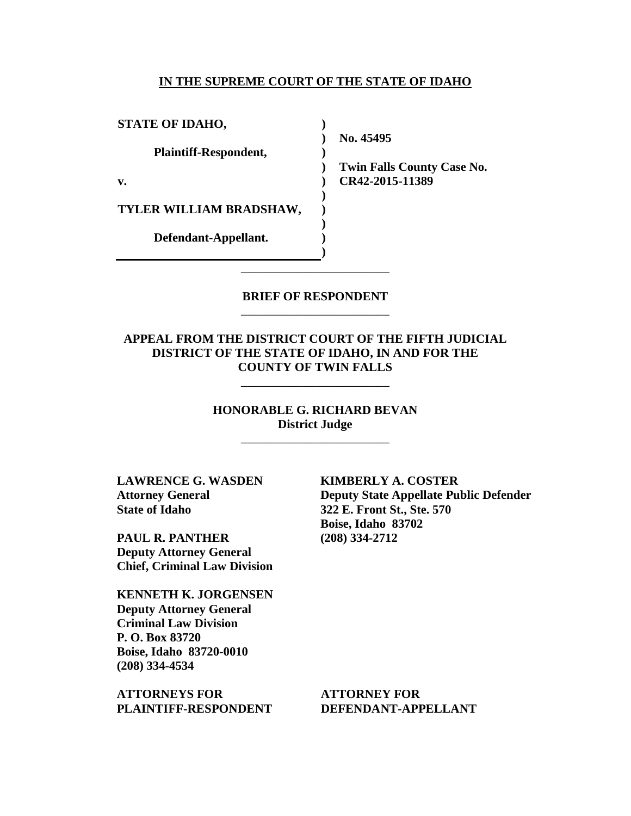#### **IN THE SUPREME COURT OF THE STATE OF IDAHO**

**) ) ) ) ) ) ) ) ) )**

**STATE OF IDAHO,**

**Plaintiff-Respondent,**

**v.** 

**TYLER WILLIAM BRADSHAW,** 

**Defendant-Appellant.**

**No. 45495** 

**Twin Falls County Case No. CR42-2015-11389** 

### **BRIEF OF RESPONDENT** \_\_\_\_\_\_\_\_\_\_\_\_\_\_\_\_\_\_\_\_\_\_\_\_

\_\_\_\_\_\_\_\_\_\_\_\_\_\_\_\_\_\_\_\_\_\_\_\_

**APPEAL FROM THE DISTRICT COURT OF THE FIFTH JUDICIAL DISTRICT OF THE STATE OF IDAHO, IN AND FOR THE COUNTY OF TWIN FALLS**

\_\_\_\_\_\_\_\_\_\_\_\_\_\_\_\_\_\_\_\_\_\_\_\_

**HONORABLE G. RICHARD BEVAN District Judge**

\_\_\_\_\_\_\_\_\_\_\_\_\_\_\_\_\_\_\_\_\_\_\_\_

**LAWRENCE G. WASDEN Attorney General State of Idaho**

**PAUL R. PANTHER Deputy Attorney General Chief, Criminal Law Division** 

**KENNETH K. JORGENSEN Deputy Attorney General Criminal Law Division P. O. Box 83720 Boise, Idaho 83720-0010 (208) 334-4534** 

**ATTORNEYS FOR PLAINTIFF-RESPONDENT** **KIMBERLY A. COSTER Deputy State Appellate Public Defender 322 E. Front St., Ste. 570 Boise, Idaho 83702 (208) 334-2712** 

**ATTORNEY FOR DEFENDANT-APPELLANT**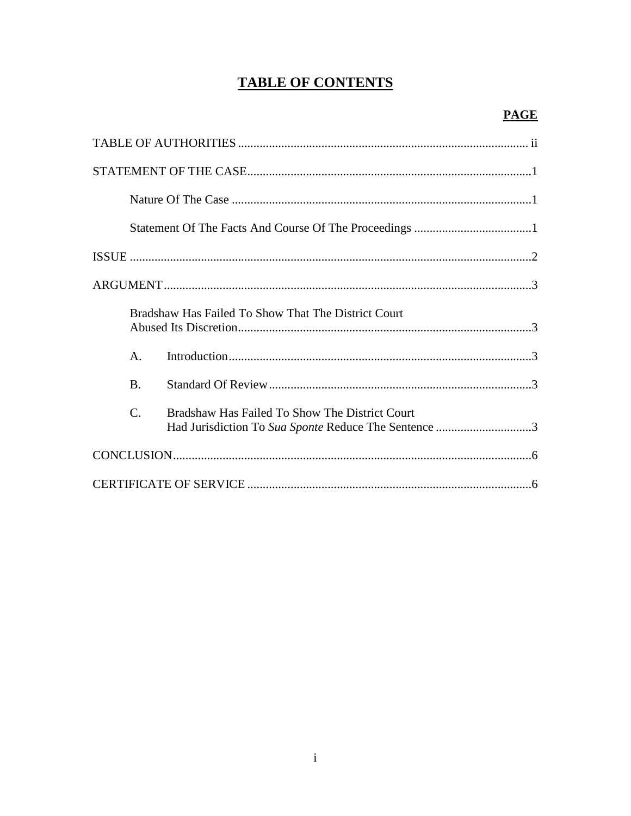# **TABLE OF CONTENTS**

|                 | Bradshaw Has Failed To Show That The District Court                                                    |
|-----------------|--------------------------------------------------------------------------------------------------------|
| $A_{\cdot}$     |                                                                                                        |
| $\bf{B}$        |                                                                                                        |
| $\mathcal{C}$ . | Bradshaw Has Failed To Show The District Court<br>Had Jurisdiction To Sua Sponte Reduce The Sentence 3 |
|                 |                                                                                                        |
|                 |                                                                                                        |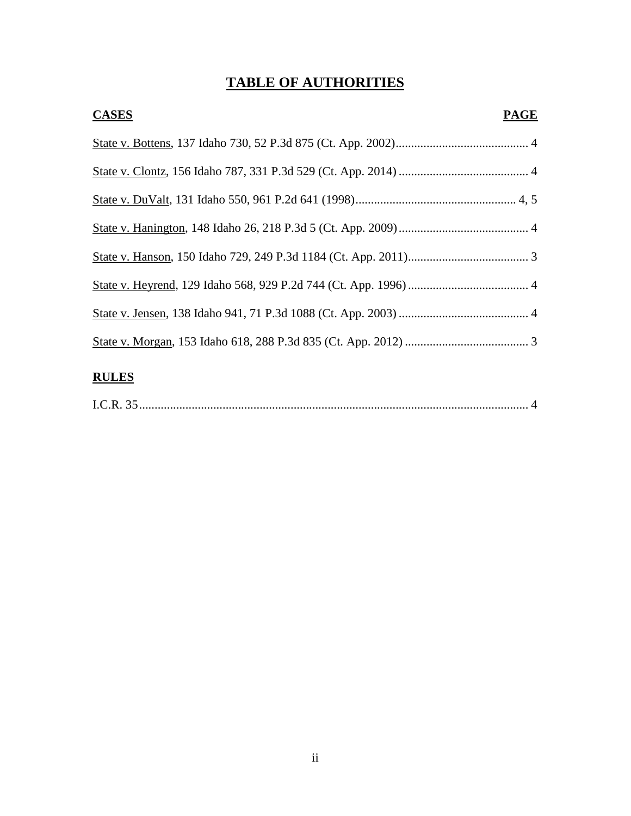# **TABLE OF AUTHORITIES**

| <b>CASES</b><br><b>PAGE</b> |  |
|-----------------------------|--|
|                             |  |
|                             |  |
|                             |  |
|                             |  |
|                             |  |
|                             |  |
|                             |  |
|                             |  |
|                             |  |

## **RULES**

|--|--|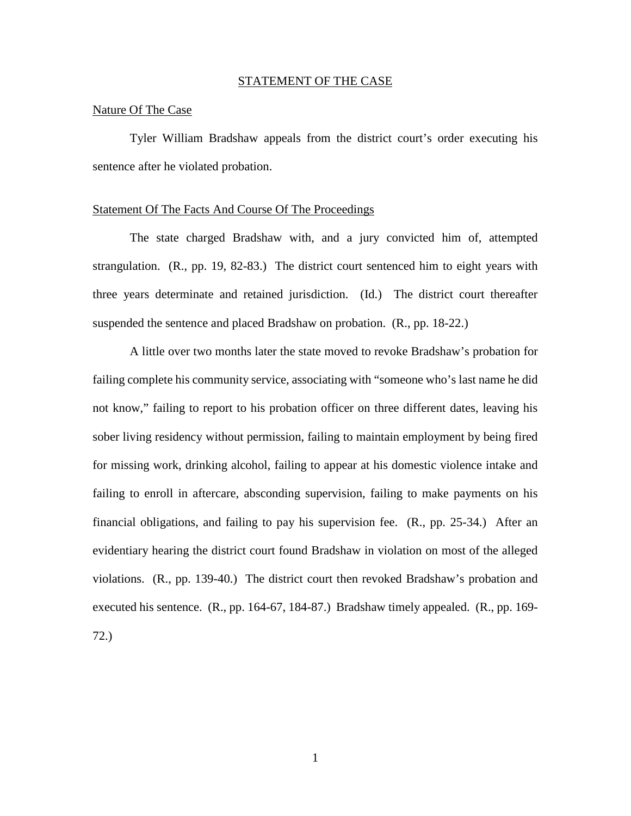#### STATEMENT OF THE CASE

#### Nature Of The Case

Tyler William Bradshaw appeals from the district court's order executing his sentence after he violated probation.

#### Statement Of The Facts And Course Of The Proceedings

The state charged Bradshaw with, and a jury convicted him of, attempted strangulation. (R., pp. 19, 82-83.) The district court sentenced him to eight years with three years determinate and retained jurisdiction. (Id.) The district court thereafter suspended the sentence and placed Bradshaw on probation. (R., pp. 18-22.)

A little over two months later the state moved to revoke Bradshaw's probation for failing complete his community service, associating with "someone who's last name he did not know," failing to report to his probation officer on three different dates, leaving his sober living residency without permission, failing to maintain employment by being fired for missing work, drinking alcohol, failing to appear at his domestic violence intake and failing to enroll in aftercare, absconding supervision, failing to make payments on his financial obligations, and failing to pay his supervision fee.  $(R., pp. 25-34.)$  After an evidentiary hearing the district court found Bradshaw in violation on most of the alleged violations. (R., pp. 139-40.) The district court then revoked Bradshaw's probation and executed his sentence. (R., pp. 164-67, 184-87.) Bradshaw timely appealed. (R., pp. 169- 72.)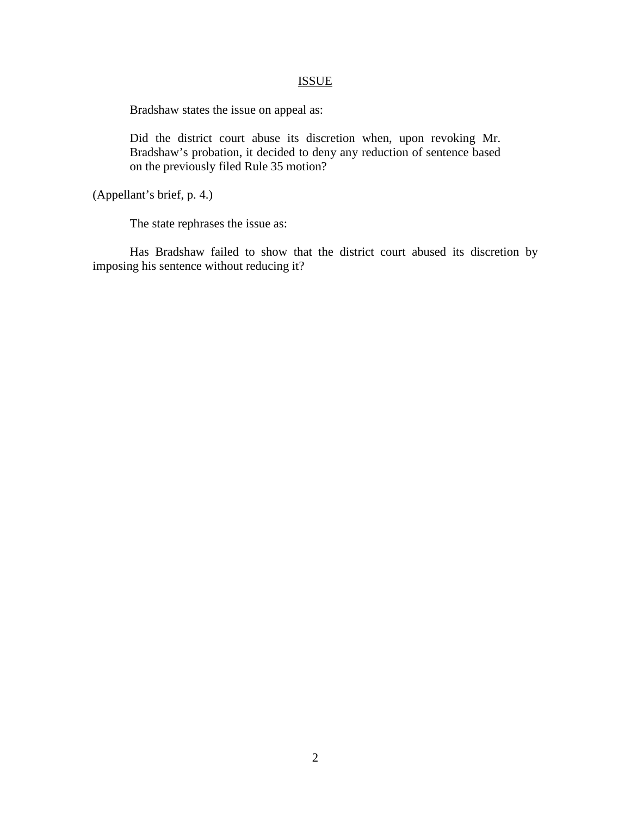### **ISSUE**

Bradshaw states the issue on appeal as:

Did the district court abuse its discretion when, upon revoking Mr. Bradshaw's probation, it decided to deny any reduction of sentence based on the previously filed Rule 35 motion?

(Appellant's brief, p. 4.)

The state rephrases the issue as:

Has Bradshaw failed to show that the district court abused its discretion by imposing his sentence without reducing it?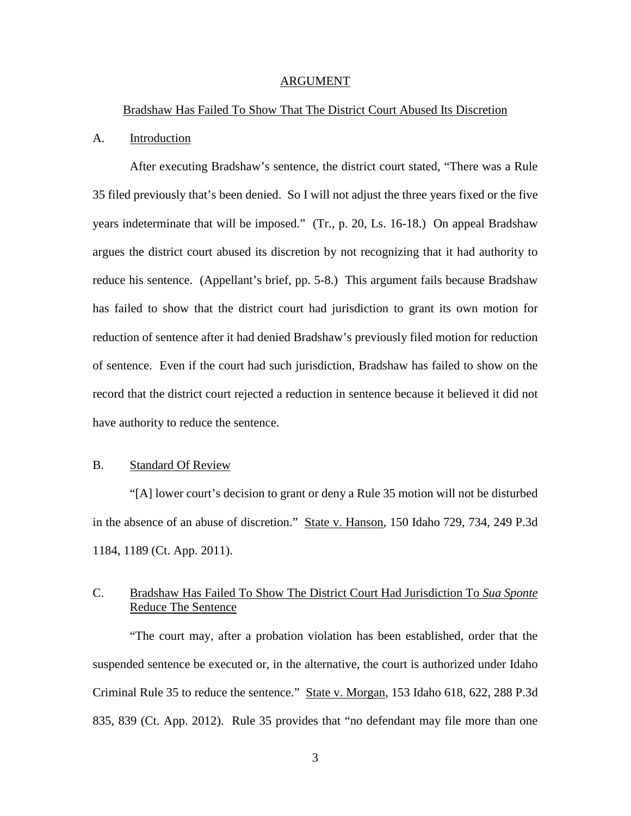#### ARGUMENT

#### Bradshaw Has Failed To Show That The District Court Abused Its Discretion

#### A. Introduction

After executing Bradshaw's sentence, the district court stated, "There was a Rule 35 filed previously that's been denied. So I will not adjust the three years fixed or the five years indeterminate that will be imposed." (Tr., p. 20, Ls. 16-18.) On appeal Bradshaw argues the district court abused its discretion by not recognizing that it had authority to reduce his sentence. (Appellant's brief, pp. 5-8.) This argument fails because Bradshaw has failed to show that the district court had jurisdiction to grant its own motion for reduction of sentence after it had denied Bradshaw's previously filed motion for reduction of sentence. Even if the court had such jurisdiction, Bradshaw has failed to show on the record that the district court rejected a reduction in sentence because it believed it did not have authority to reduce the sentence.

#### B. Standard Of Review

 "[A] lower court's decision to grant or deny a Rule 35 motion will not be disturbed in the absence of an abuse of discretion." State v. Hanson, 150 Idaho 729, 734, 249 P.3d 1184, 1189 (Ct. App. 2011).

### C. Bradshaw Has Failed To Show The District Court Had Jurisdiction To *Sua Sponte* Reduce The Sentence

"The court may, after a probation violation has been established, order that the suspended sentence be executed or, in the alternative, the court is authorized under Idaho Criminal Rule 35 to reduce the sentence." State v. Morgan, 153 Idaho 618, 622, 288 P.3d 835, 839 (Ct. App. 2012). Rule 35 provides that "no defendant may file more than one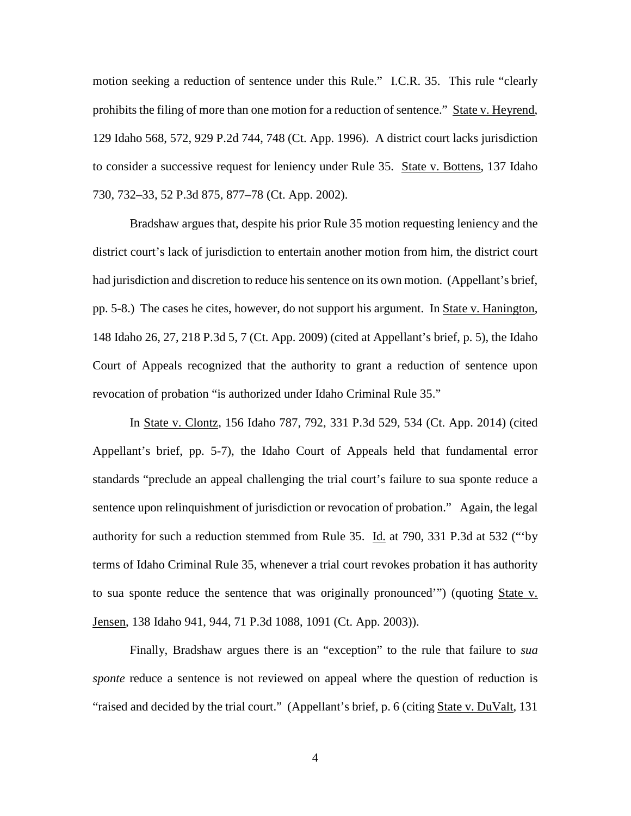motion seeking a reduction of sentence under this Rule." I.C.R. 35. This rule "clearly prohibits the filing of more than one motion for a reduction of sentence." State v. Heyrend, 129 Idaho 568, 572, 929 P.2d 744, 748 (Ct. App. 1996). A district court lacks jurisdiction to consider a successive request for leniency under Rule 35. State v. Bottens, 137 Idaho 730, 732–33, 52 P.3d 875, 877–78 (Ct. App. 2002).

Bradshaw argues that, despite his prior Rule 35 motion requesting leniency and the district court's lack of jurisdiction to entertain another motion from him, the district court had jurisdiction and discretion to reduce his sentence on its own motion. (Appellant's brief, pp. 5-8.) The cases he cites, however, do not support his argument. In State v. Hanington, 148 Idaho 26, 27, 218 P.3d 5, 7 (Ct. App. 2009) (cited at Appellant's brief, p. 5), the Idaho Court of Appeals recognized that the authority to grant a reduction of sentence upon revocation of probation "is authorized under Idaho Criminal Rule 35."

In State v. Clontz, 156 Idaho 787, 792, 331 P.3d 529, 534 (Ct. App. 2014) (cited Appellant's brief, pp. 5-7), the Idaho Court of Appeals held that fundamental error standards "preclude an appeal challenging the trial court's failure to sua sponte reduce a sentence upon relinquishment of jurisdiction or revocation of probation." Again, the legal authority for such a reduction stemmed from Rule 35. Id. at 790, 331 P.3d at 532 ("'by terms of Idaho Criminal Rule 35, whenever a trial court revokes probation it has authority to sua sponte reduce the sentence that was originally pronounced'") (quoting State v. Jensen, 138 Idaho 941, 944, 71 P.3d 1088, 1091 (Ct. App. 2003)).

Finally, Bradshaw argues there is an "exception" to the rule that failure to *sua sponte* reduce a sentence is not reviewed on appeal where the question of reduction is "raised and decided by the trial court." (Appellant's brief, p. 6 (citing State v. DuValt, 131)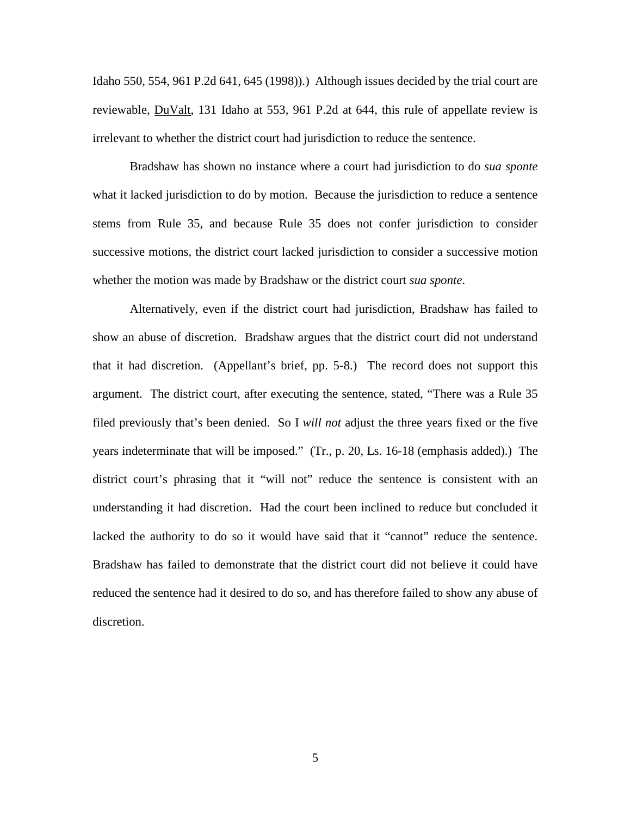Idaho 550, 554, 961 P.2d 641, 645 (1998)).) Although issues decided by the trial court are reviewable, DuValt, 131 Idaho at 553, 961 P.2d at 644, this rule of appellate review is irrelevant to whether the district court had jurisdiction to reduce the sentence.

Bradshaw has shown no instance where a court had jurisdiction to do *sua sponte* what it lacked jurisdiction to do by motion. Because the jurisdiction to reduce a sentence stems from Rule 35, and because Rule 35 does not confer jurisdiction to consider successive motions, the district court lacked jurisdiction to consider a successive motion whether the motion was made by Bradshaw or the district court *sua sponte*.

Alternatively, even if the district court had jurisdiction, Bradshaw has failed to show an abuse of discretion. Bradshaw argues that the district court did not understand that it had discretion. (Appellant's brief, pp. 5-8.) The record does not support this argument. The district court, after executing the sentence, stated, "There was a Rule 35 filed previously that's been denied. So I *will not* adjust the three years fixed or the five years indeterminate that will be imposed." (Tr., p. 20, Ls. 16-18 (emphasis added).) The district court's phrasing that it "will not" reduce the sentence is consistent with an understanding it had discretion. Had the court been inclined to reduce but concluded it lacked the authority to do so it would have said that it "cannot" reduce the sentence. Bradshaw has failed to demonstrate that the district court did not believe it could have reduced the sentence had it desired to do so, and has therefore failed to show any abuse of discretion.